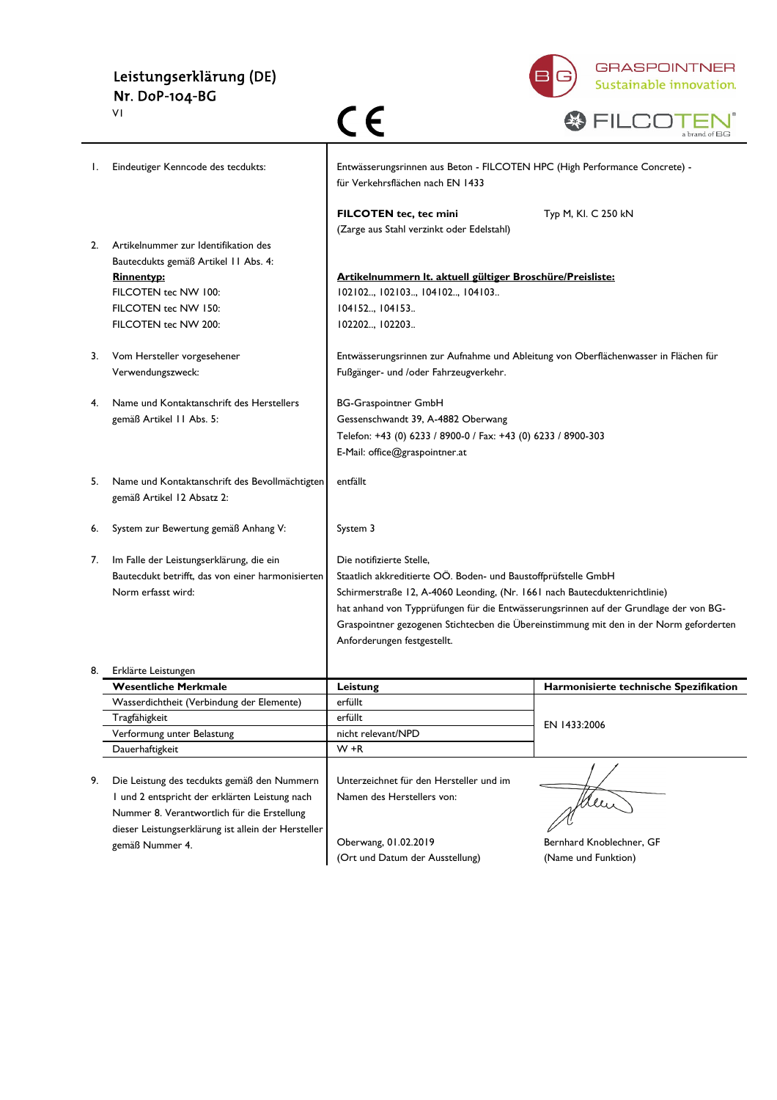#### Leistungserklärung (DE) Nr. DoP-104-BG



| A.T.<br>- 20 |  |                                           |  |
|--------------|--|-------------------------------------------|--|
|              |  | $\mathbf{v}$ m $\mathbf{v}$<br>а ргано от |  |

|    | ٧I                                                                                                                                                                                                  | (E                                                                                                                                                                                                                                                                                               | a brand of BG                                                                          |
|----|-----------------------------------------------------------------------------------------------------------------------------------------------------------------------------------------------------|--------------------------------------------------------------------------------------------------------------------------------------------------------------------------------------------------------------------------------------------------------------------------------------------------|----------------------------------------------------------------------------------------|
| I. | Eindeutiger Kenncode des tecdukts:                                                                                                                                                                  | Entwässerungsrinnen aus Beton - FILCOTEN HPC (High Performance Concrete) -<br>für Verkehrsflächen nach EN 1433                                                                                                                                                                                   |                                                                                        |
|    |                                                                                                                                                                                                     | FILCOTEN tec, tec mini<br>(Zarge aus Stahl verzinkt oder Edelstahl)                                                                                                                                                                                                                              | Typ M, KI. C 250 kN                                                                    |
| 2. | Artikelnummer zur Identifikation des<br>Bautecdukts gemäß Artikel 11 Abs. 4:<br><b>Rinnentyp:</b><br>FILCOTEN tec NW 100:<br>FILCOTEN tec NW 150:<br>FILCOTEN tec NW 200:                           | Artikelnummern It. aktuell gültiger Broschüre/Preisliste:<br>102102, 102103, 104102, 104103<br>104152, 104153<br>102202, 102203                                                                                                                                                                  |                                                                                        |
| 3. | Vom Hersteller vorgesehener<br>Verwendungszweck:                                                                                                                                                    | Entwässerungsrinnen zur Aufnahme und Ableitung von Oberflächenwasser in Flächen für<br>Fußgänger- und /oder Fahrzeugverkehr.                                                                                                                                                                     |                                                                                        |
| 4. | Name und Kontaktanschrift des Herstellers<br>gemäß Artikel 11 Abs. 5:                                                                                                                               | <b>BG-Graspointner GmbH</b><br>Gessenschwandt 39, A-4882 Oberwang<br>Telefon: +43 (0) 6233 / 8900-0 / Fax: +43 (0) 6233 / 8900-303<br>E-Mail: office@graspointner.at                                                                                                                             |                                                                                        |
| 5. | Name und Kontaktanschrift des Bevollmächtigten<br>gemäß Artikel 12 Absatz 2:                                                                                                                        | entfällt                                                                                                                                                                                                                                                                                         |                                                                                        |
| 6. | System zur Bewertung gemäß Anhang V:                                                                                                                                                                | System 3                                                                                                                                                                                                                                                                                         |                                                                                        |
| 7. | Im Falle der Leistungserklärung, die ein<br>Bautecdukt betrifft, das von einer harmonisierten<br>Norm erfasst wird:                                                                                 | Die notifizierte Stelle,<br>Staatlich akkreditierte OÖ. Boden- und Baustoffprüfstelle GmbH<br>Schirmerstraße 12, A-4060 Leonding, (Nr. 1661 nach Bautecduktenrichtlinie)<br>hat anhand von Typprüfungen für die Entwässerungsrinnen auf der Grundlage der von BG-<br>Anforderungen festgestellt. | Graspointner gezogenen Stichtecben die Übereinstimmung mit den in der Norm geforderten |
|    | Erklärte Leistungen                                                                                                                                                                                 |                                                                                                                                                                                                                                                                                                  |                                                                                        |
|    | <b>Wesentliche Merkmale</b>                                                                                                                                                                         | Leistung                                                                                                                                                                                                                                                                                         | Harmonisierte technische Spezifikation                                                 |
|    | Wasserdichtheit (Verbindung der Elemente)                                                                                                                                                           | erfüllt                                                                                                                                                                                                                                                                                          |                                                                                        |
|    | Tragfähigkeit                                                                                                                                                                                       | erfüllt                                                                                                                                                                                                                                                                                          | EN 1433:2006                                                                           |
|    | Verformung unter Belastung<br>Dauerhaftigkeit                                                                                                                                                       | nicht relevant/NPD<br>$W + R$                                                                                                                                                                                                                                                                    |                                                                                        |
| 9. | Die Leistung des tecdukts gemäß den Nummern<br>I und 2 entspricht der erklärten Leistung nach<br>Nummer 8. Verantwortlich für die Erstellung<br>dieser Leistungserklärung ist allein der Hersteller | Unterzeichnet für den Hersteller und im<br>Namen des Herstellers von:<br>Oberwang, 01.02.2019                                                                                                                                                                                                    | new<br>Bernhard Knoblechner, GF                                                        |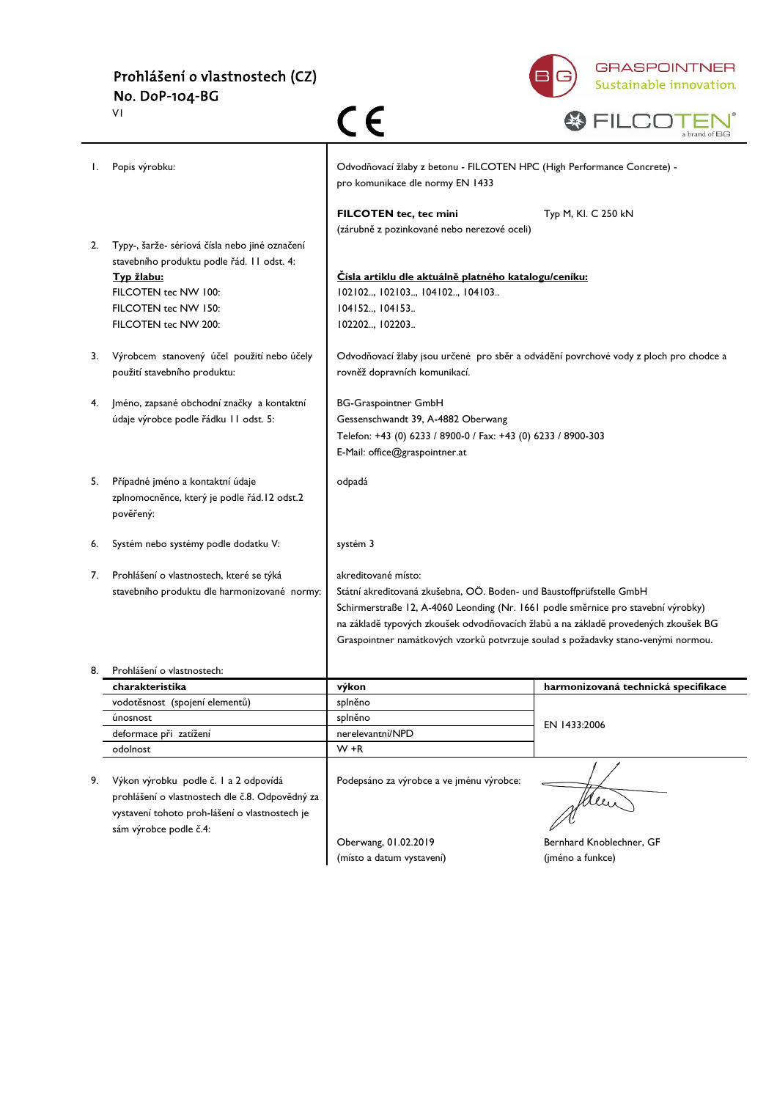

| w |  |  |                                    |  |
|---|--|--|------------------------------------|--|
|   |  |  | a brand of $\mathsf{B} \mathsf{G}$ |  |

|    | VI                                                                                                                                                                                  | CE                                                                                                                                                                                                                                                                                                                                                           | a brand of BG                                                                         |
|----|-------------------------------------------------------------------------------------------------------------------------------------------------------------------------------------|--------------------------------------------------------------------------------------------------------------------------------------------------------------------------------------------------------------------------------------------------------------------------------------------------------------------------------------------------------------|---------------------------------------------------------------------------------------|
| I. | Popis výrobku:                                                                                                                                                                      | Odvodňovací žlaby z betonu - FILCOTEN HPC (High Performance Concrete) -<br>pro komunikace dle normy EN 1433                                                                                                                                                                                                                                                  |                                                                                       |
|    |                                                                                                                                                                                     | FILCOTEN tec, tec mini<br>(zárubně z pozinkované nebo nerezové oceli)                                                                                                                                                                                                                                                                                        | Typ M, KI. C 250 kN                                                                   |
| 2. | Typy-, šarže- sériová čísla nebo jiné označení<br>stavebního produktu podle řád. I l odst. 4:<br>Typ žlabu:<br>FILCOTEN tec NW 100:<br>FILCOTEN tec NW 150:<br>FILCOTEN tec NW 200: | Čísla artiklu dle aktuálně platného katalogu/ceníku:<br>102102, 102103, 104102, 104103<br>104152 104153<br>102202, 102203                                                                                                                                                                                                                                    |                                                                                       |
| 3. | Výrobcem stanovený účel použití nebo účely<br>použití stavebního produktu:                                                                                                          | rovněž dopravních komunikací.                                                                                                                                                                                                                                                                                                                                | Odvodňovací žlaby jsou určené pro sběr a odvádění povrchové vody z ploch pro chodce a |
| 4. | Jméno, zapsané obchodní značky a kontaktní<br>údaje výrobce podle řádku 11 odst. 5:                                                                                                 | <b>BG-Graspointner GmbH</b><br>Gessenschwandt 39, A-4882 Oberwang<br>Telefon: +43 (0) 6233 / 8900-0 / Fax: +43 (0) 6233 / 8900-303<br>E-Mail: office@graspointner.at                                                                                                                                                                                         |                                                                                       |
| 5. | Případné jméno a kontaktní údaje<br>zplnomocněnce, který je podle řád. l 2 odst.2<br>pověřený:                                                                                      | odpadá                                                                                                                                                                                                                                                                                                                                                       |                                                                                       |
| 6. | Systém nebo systémy podle dodatku V:                                                                                                                                                | systém 3                                                                                                                                                                                                                                                                                                                                                     |                                                                                       |
| 7. | Prohlášení o vlastnostech, které se týká<br>stavebního produktu dle harmonizované normy:                                                                                            | akreditované místo:<br>Státní akreditovaná zkušebna, OÖ. Boden- und Baustoffprüfstelle GmbH<br>Schirmerstraße 12, A-4060 Leonding (Nr. 1661 podle směrnice pro stavební výrobky)<br>na základě typových zkoušek odvodňovacích žlabů a na základě provedených zkoušek BG<br>Graspointner namátkových vzorků potvrzuje soulad s požadavky stano-venými normou. |                                                                                       |
|    | Prohlášení o vlastnostech:                                                                                                                                                          |                                                                                                                                                                                                                                                                                                                                                              |                                                                                       |
|    | charakteristika                                                                                                                                                                     | výkon                                                                                                                                                                                                                                                                                                                                                        | harmonizovaná technická specifikace                                                   |
|    | vodotěsnost (spojení elementů)                                                                                                                                                      | splněno                                                                                                                                                                                                                                                                                                                                                      |                                                                                       |
|    | únosnost                                                                                                                                                                            | splněno                                                                                                                                                                                                                                                                                                                                                      | EN 1433:2006                                                                          |
|    | deformace při zatížení                                                                                                                                                              | nerelevantní/NPD                                                                                                                                                                                                                                                                                                                                             |                                                                                       |
| 9. | odolnost<br>Výkon výrobku podle č. l a 2 odpovídá<br>prohlášení o vlastnostech dle č.8. Odpovědný za<br>vystavení tohoto proh-lášení o vlastnostech je<br>sám výrobce podle č.4:    | $W + R$<br>Podepsáno za výrobce a ve jménu výrobce:                                                                                                                                                                                                                                                                                                          |                                                                                       |
|    |                                                                                                                                                                                     | Oberwang, 01.02.2019<br>(místo a datum vystavení)                                                                                                                                                                                                                                                                                                            | Bernhard Knoblechner, GF<br>(jméno a funkce)                                          |
|    |                                                                                                                                                                                     |                                                                                                                                                                                                                                                                                                                                                              |                                                                                       |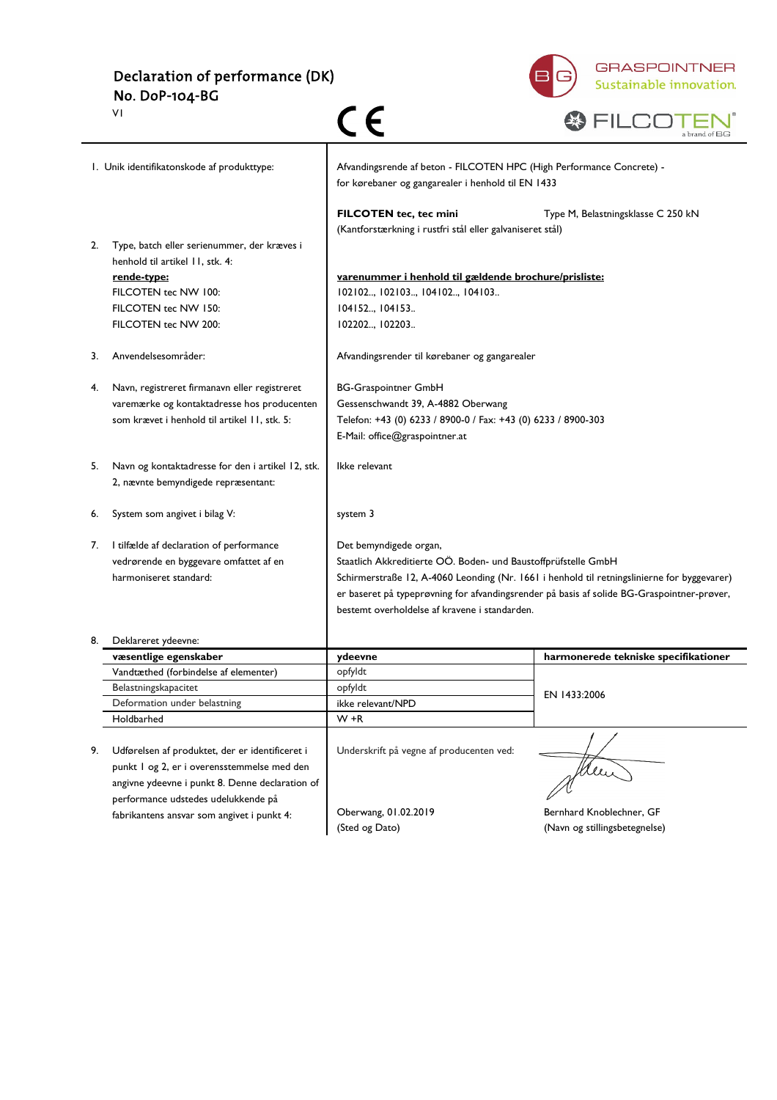Declaration of performance (DK) No. DoP-104-BG V1



|                                            | ٧I                                                                             | C E                                                                                                                         | a brand of BG                                                                               |
|--------------------------------------------|--------------------------------------------------------------------------------|-----------------------------------------------------------------------------------------------------------------------------|---------------------------------------------------------------------------------------------|
| I. Unik identifikatonskode af produkttype: |                                                                                | Afvandingsrende af beton - FILCOTEN HPC (High Performance Concrete) -<br>for kørebaner og gangarealer i henhold til EN 1433 |                                                                                             |
|                                            |                                                                                | FILCOTEN tec, tec mini<br>(Kantforstærkning i rustfri stål eller galvaniseret stål)                                         | Type M, Belastningsklasse C 250 kN                                                          |
| 2.                                         | Type, batch eller serienummer, der kræves i<br>henhold til artikel 11, stk. 4: |                                                                                                                             |                                                                                             |
|                                            | rende-type:                                                                    | varenummer i henhold til gældende brochure/prisliste:                                                                       |                                                                                             |
|                                            | FILCOTEN tec NW 100:                                                           | 102102, 102103, 104102, 104103                                                                                              |                                                                                             |
|                                            | FILCOTEN tec NW 150:                                                           | 104152, 104153                                                                                                              |                                                                                             |
|                                            | FILCOTEN tec NW 200:                                                           | 102202, 102203                                                                                                              |                                                                                             |
| 3.                                         | Anvendelsesområder:                                                            | Afvandingsrender til kørebaner og gangarealer                                                                               |                                                                                             |
| 4.                                         | Navn, registreret firmanavn eller registreret                                  | <b>BG-Graspointner GmbH</b>                                                                                                 |                                                                                             |
|                                            | varemærke og kontaktadresse hos producenten                                    | Gessenschwandt 39, A-4882 Oberwang                                                                                          |                                                                                             |
|                                            | som krævet i henhold til artikel 11, stk. 5:                                   | Telefon: +43 (0) 6233 / 8900-0 / Fax: +43 (0) 6233 / 8900-303                                                               |                                                                                             |
|                                            |                                                                                | E-Mail: office@graspointner.at                                                                                              |                                                                                             |
| 5.                                         | Navn og kontaktadresse for den i artikel 12, stk.                              | Ikke relevant                                                                                                               |                                                                                             |
|                                            | 2, nævnte bemyndigede repræsentant:                                            |                                                                                                                             |                                                                                             |
| 6.                                         | System som angivet i bilag V:                                                  | system 3                                                                                                                    |                                                                                             |
| 7.                                         | I tilfælde af declaration of performance                                       | Det bemyndigede organ,                                                                                                      |                                                                                             |
|                                            | vedrørende en byggevare omfattet af en                                         | Staatlich Akkreditierte OÖ. Boden- und Baustoffprüfstelle GmbH                                                              |                                                                                             |
|                                            | harmoniseret standard:                                                         |                                                                                                                             | Schirmerstraße 12, A-4060 Leonding (Nr. 1661 i henhold til retningslinierne for byggevarer) |
|                                            |                                                                                |                                                                                                                             | er baseret på typeprøvning for afvandingsrender på basis af solide BG-Graspointner-prøver,  |
|                                            |                                                                                | bestemt overholdelse af kravene i standarden.                                                                               |                                                                                             |
|                                            | Deklareret ydeevne:                                                            |                                                                                                                             |                                                                                             |
|                                            | væsentlige egenskaber                                                          | ydeevne                                                                                                                     | harmonerede tekniske specifikationer                                                        |
|                                            | Vandtæthed (forbindelse af elementer)                                          | opfyldt                                                                                                                     |                                                                                             |
|                                            | Belastningskapacitet                                                           | opfyldt                                                                                                                     | EN 1433:2006                                                                                |
|                                            | Deformation under belastning                                                   | ikke relevant/NPD                                                                                                           |                                                                                             |
|                                            | Holdbarhed                                                                     | $W + R$                                                                                                                     |                                                                                             |
| 9.                                         | Udførelsen af produktet, der er identificeret i                                | Underskrift på vegne af producenten ved:                                                                                    |                                                                                             |
|                                            | punkt I og 2, er i overensstemmelse med den                                    |                                                                                                                             |                                                                                             |
|                                            | angivne ydeevne i punkt 8. Denne declaration of                                |                                                                                                                             | Klei                                                                                        |
|                                            | performance udstedes udelukkende på                                            |                                                                                                                             |                                                                                             |
|                                            | fabrikantens ansvar som angivet i punkt 4:                                     | Oberwang, 01.02.2019                                                                                                        | Bernhard Knoblechner, GF                                                                    |
|                                            |                                                                                | (Sted og Dato)                                                                                                              | (Navn og stillingsbetegnelse)                                                               |
|                                            |                                                                                |                                                                                                                             |                                                                                             |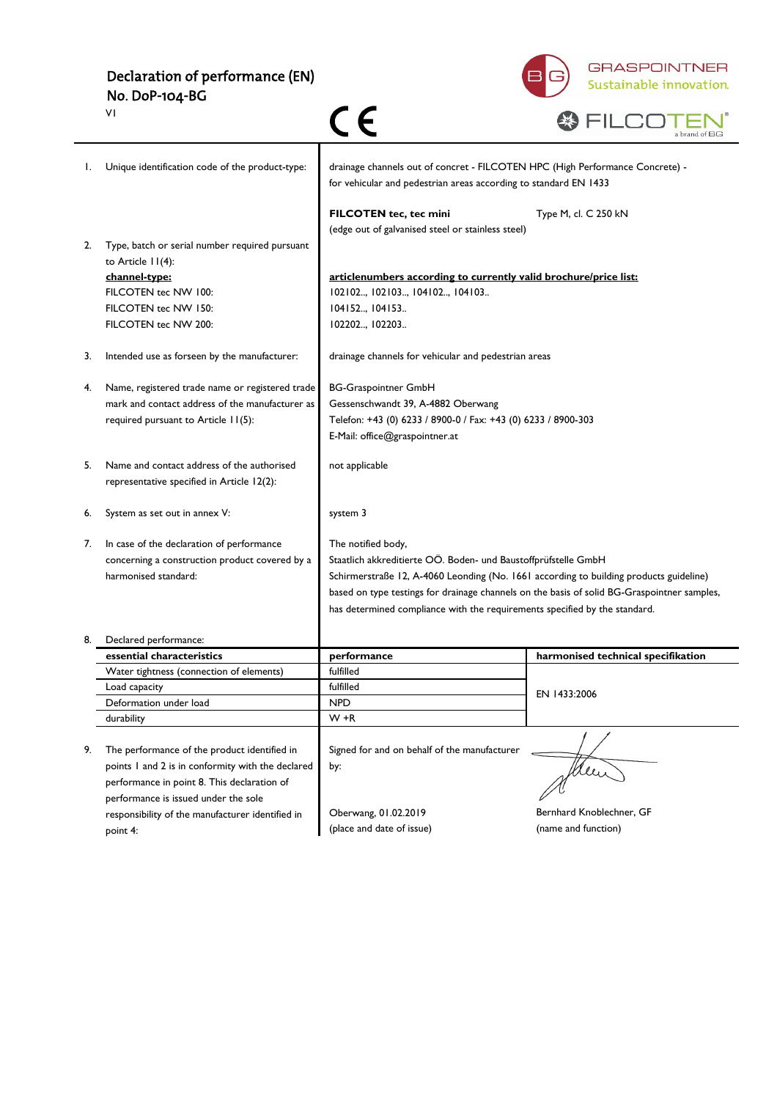## Declaration of performance (EN) No. DoP-104-BG



|    | VI                                                |                                                                                                                                                   | a brand of BG                      |
|----|---------------------------------------------------|---------------------------------------------------------------------------------------------------------------------------------------------------|------------------------------------|
| I. | Unique identification code of the product-type:   | drainage channels out of concret - FILCOTEN HPC (High Performance Concrete) -<br>for vehicular and pedestrian areas according to standard EN 1433 |                                    |
|    |                                                   | FILCOTEN tec, tec mini                                                                                                                            | Type M, cl. C 250 kN               |
|    |                                                   | (edge out of galvanised steel or stainless steel)                                                                                                 |                                    |
| 2. | Type, batch or serial number required pursuant    |                                                                                                                                                   |                                    |
|    | to Article 11(4):                                 |                                                                                                                                                   |                                    |
|    | channel-type:                                     | articlenumbers according to currently valid brochure/price list:                                                                                  |                                    |
|    | FILCOTEN tec NW 100:                              | 102102, 102103, 104102, 104103                                                                                                                    |                                    |
|    | FILCOTEN tec NW 150:                              | 104152, 104153                                                                                                                                    |                                    |
|    | FILCOTEN tec NW 200:                              | 102202, 102203                                                                                                                                    |                                    |
| 3. | Intended use as forseen by the manufacturer:      | drainage channels for vehicular and pedestrian areas                                                                                              |                                    |
| 4. | Name, registered trade name or registered trade   | <b>BG-Graspointner GmbH</b>                                                                                                                       |                                    |
|    | mark and contact address of the manufacturer as   | Gessenschwandt 39, A-4882 Oberwang                                                                                                                |                                    |
|    | required pursuant to Article 11(5):               | Telefon: +43 (0) 6233 / 8900-0 / Fax: +43 (0) 6233 / 8900-303                                                                                     |                                    |
|    |                                                   | E-Mail: office@graspointner.at                                                                                                                    |                                    |
|    |                                                   |                                                                                                                                                   |                                    |
| 5. | Name and contact address of the authorised        | not applicable                                                                                                                                    |                                    |
|    | representative specified in Article 12(2):        |                                                                                                                                                   |                                    |
|    |                                                   |                                                                                                                                                   |                                    |
| 6. | System as set out in annex V:                     | system 3                                                                                                                                          |                                    |
|    |                                                   |                                                                                                                                                   |                                    |
| 7. | In case of the declaration of performance         | The notified body,                                                                                                                                |                                    |
|    | concerning a construction product covered by a    | Staatlich akkreditierte OÖ. Boden- und Baustoffprüfstelle GmbH                                                                                    |                                    |
|    | harmonised standard:                              | Schirmerstraße 12, A-4060 Leonding (No. 1661 according to building products guideline)                                                            |                                    |
|    |                                                   | based on type testings for drainage channels on the basis of solid BG-Graspointner samples,                                                       |                                    |
|    |                                                   | has determined compliance with the requirements specified by the standard.                                                                        |                                    |
| 8. | Declared performance:                             |                                                                                                                                                   |                                    |
|    | essential characteristics                         | performance                                                                                                                                       | harmonised technical specifikation |
|    | Water tightness (connection of elements)          | fulfilled                                                                                                                                         |                                    |
|    | Load capacity                                     | fulfilled                                                                                                                                         | EN 1433:2006                       |
|    | Deformation under load                            | <b>NPD</b>                                                                                                                                        |                                    |
|    | durability                                        | $W + R$                                                                                                                                           |                                    |
|    |                                                   |                                                                                                                                                   |                                    |
| 9. | The performance of the product identified in      | Signed for and on behalf of the manufacturer                                                                                                      |                                    |
|    | points I and 2 is in conformity with the declared | by:                                                                                                                                               | Men                                |
|    | performance in point 8. This declaration of       |                                                                                                                                                   |                                    |
|    | performance is issued under the sole              |                                                                                                                                                   |                                    |
|    | responsibility of the manufacturer identified in  | Oberwang, 01.02.2019                                                                                                                              | Bernhard Knoblechner, GF           |
|    | point 4:                                          | (place and date of issue)                                                                                                                         | (name and function)                |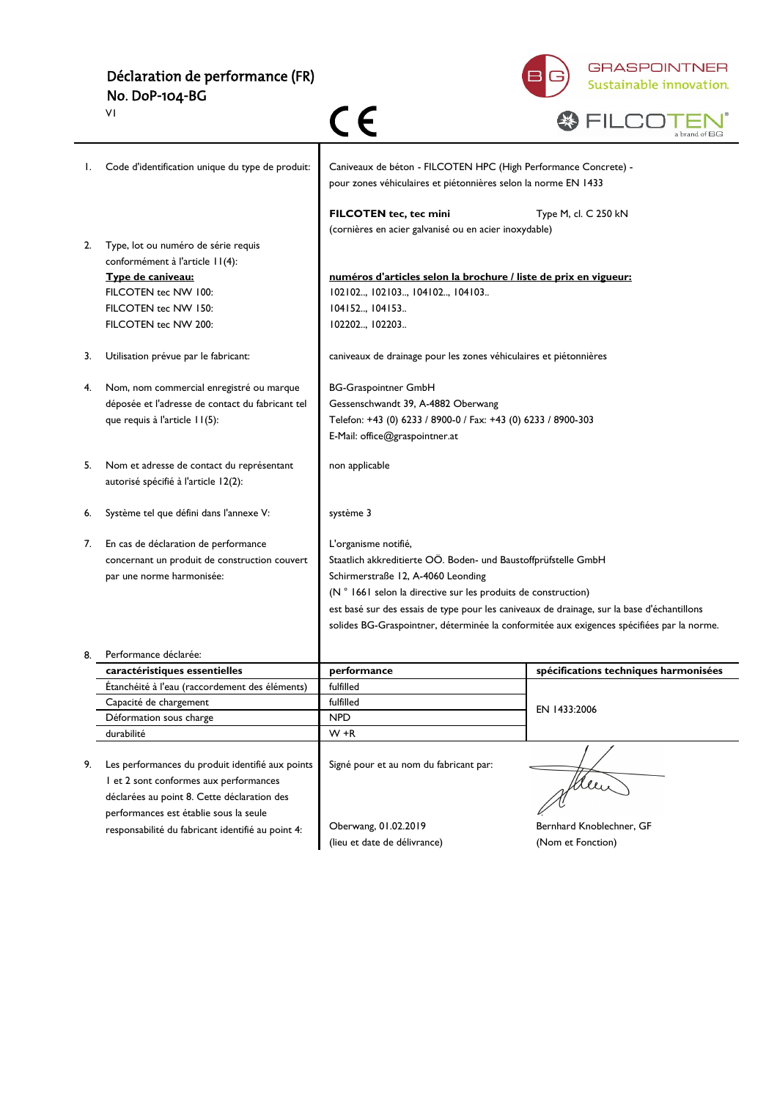#### Déclaration de performance (FR) No. DoP-104-BG



|    | ٧I                                                                                         |                                                                                                                                   |                                       |
|----|--------------------------------------------------------------------------------------------|-----------------------------------------------------------------------------------------------------------------------------------|---------------------------------------|
| Ι. | Code d'identification unique du type de produit:                                           | Caniveaux de béton - FILCOTEN HPC (High Performance Concrete) -<br>pour zones véhiculaires et piétonnières selon la norme EN 1433 |                                       |
|    |                                                                                            | FILCOTEN tec, tec mini<br>(cornières en acier galvanisé ou en acier inoxydable)                                                   | Type M, cl. C 250 kN                  |
| 2. | Type, lot ou numéro de série requis<br>conformément à l'article 11(4):                     |                                                                                                                                   |                                       |
|    | Type de caniveau:                                                                          | numéros d'articles selon la brochure / liste de prix en vigueur:                                                                  |                                       |
|    | FILCOTEN tec NW 100:                                                                       | 102102, 102103, 104102, 104103                                                                                                    |                                       |
|    | FILCOTEN tec NW 150:                                                                       | 104152, 104153                                                                                                                    |                                       |
|    | FILCOTEN tec NW 200:                                                                       | 102202, 102203                                                                                                                    |                                       |
| 3. | Utilisation prévue par le fabricant:                                                       | caniveaux de drainage pour les zones véhiculaires et piétonnières                                                                 |                                       |
| 4. | Nom, nom commercial enregistré ou marque                                                   | <b>BG-Graspointner GmbH</b>                                                                                                       |                                       |
|    | déposée et l'adresse de contact du fabricant tel                                           | Gessenschwandt 39, A-4882 Oberwang                                                                                                |                                       |
|    | que requis à l'article 11(5):                                                              | Telefon: +43 (0) 6233 / 8900-0 / Fax: +43 (0) 6233 / 8900-303                                                                     |                                       |
|    |                                                                                            | E-Mail: office@graspointner.at                                                                                                    |                                       |
| 5. | Nom et adresse de contact du représentant<br>autorisé spécifié à l'article 12(2):          | non applicable                                                                                                                    |                                       |
| 6. | Système tel que défini dans l'annexe V:                                                    | système 3                                                                                                                         |                                       |
| 7. | En cas de déclaration de performance                                                       | L'organisme notifié,                                                                                                              |                                       |
|    | concernant un produit de construction couvert                                              | Staatlich akkreditierte OÖ. Boden- und Baustoffprüfstelle GmbH                                                                    |                                       |
|    | par une norme harmonisée:                                                                  | Schirmerstraße 12, A-4060 Leonding                                                                                                |                                       |
|    |                                                                                            | (N ° 1661 selon la directive sur les produits de construction)                                                                    |                                       |
|    |                                                                                            | est basé sur des essais de type pour les caniveaux de drainage, sur la base d'échantillons                                        |                                       |
|    |                                                                                            | solides BG-Graspointner, déterminée la conformitée aux exigences spécifiées par la norme.                                         |                                       |
| 8. | Performance déclarée:                                                                      |                                                                                                                                   |                                       |
|    | caractéristiques essentielles                                                              | performance                                                                                                                       | spécifications techniques harmonisées |
|    | Étanchéité à l'eau (raccordement des éléments)                                             | fulfilled                                                                                                                         |                                       |
|    | Capacité de chargement                                                                     | fulfilled                                                                                                                         | EN 1433:2006                          |
|    | Déformation sous charge                                                                    | <b>NPD</b>                                                                                                                        |                                       |
|    | durabilité                                                                                 | $W + R$                                                                                                                           |                                       |
| 9. |                                                                                            | Signé pour et au nom du fabricant par:                                                                                            |                                       |
|    | Les performances du produit identifié aux points<br>I et 2 sont conformes aux performances |                                                                                                                                   |                                       |
|    | déclarées au point 8. Cette déclaration des                                                |                                                                                                                                   | leen                                  |
|    | performances est établie sous la seule                                                     |                                                                                                                                   |                                       |
|    | responsabilité du fabricant identifié au point 4:                                          | Oberwang, 01.02.2019                                                                                                              | Bernhard Knoblechner, GF              |
|    |                                                                                            | (lieu et date de délivrance)                                                                                                      | (Nom et Fonction)                     |
|    |                                                                                            |                                                                                                                                   |                                       |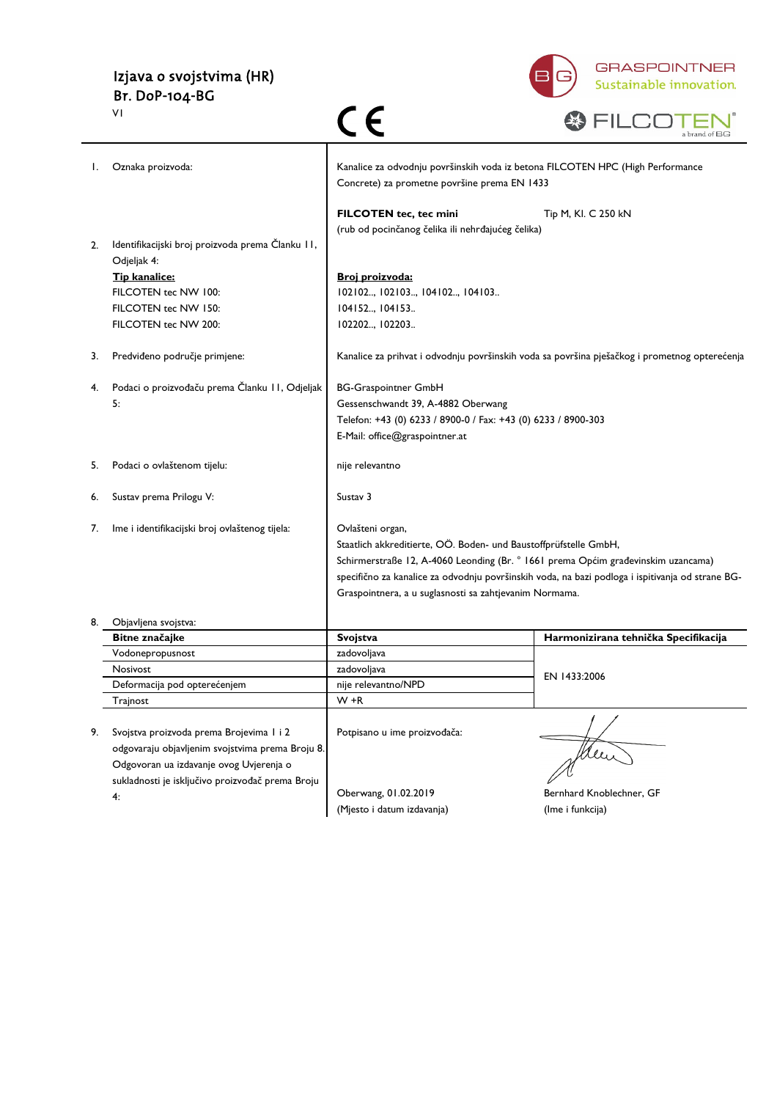# Izjava o svojstvima (HR) Br. DoP-104-BG



|  | a brand of<br>- |
|--|-----------------|

|    | VI                                               | C E                                                                                                                            | a brand of BG                                                                                    |
|----|--------------------------------------------------|--------------------------------------------------------------------------------------------------------------------------------|--------------------------------------------------------------------------------------------------|
| Ι. | Oznaka proizvoda:                                | Kanalice za odvodnju površinskih voda iz betona FILCOTEN HPC (High Performance<br>Concrete) za prometne površine prema EN 1433 |                                                                                                  |
|    |                                                  | FILCOTEN tec, tec mini                                                                                                         | Tip M, Kl. C 250 kN                                                                              |
|    |                                                  | (rub od pocinčanog čelika ili nehrđajućeg čelika)                                                                              |                                                                                                  |
| 2. | Identifikacijski broj proizvoda prema Članku II, |                                                                                                                                |                                                                                                  |
|    | Odjeljak 4:<br>Tip kanalice:                     | Broj proizvoda:                                                                                                                |                                                                                                  |
|    | FILCOTEN tec NW 100:                             | 102102, 102103, 104102, 104103                                                                                                 |                                                                                                  |
|    | FILCOTEN tec NW 150:                             | 104152, 104153                                                                                                                 |                                                                                                  |
|    | FILCOTEN tec NW 200:                             | 102202, 102203                                                                                                                 |                                                                                                  |
|    |                                                  |                                                                                                                                |                                                                                                  |
| 3. | Predviđeno područje primjene:                    |                                                                                                                                | Kanalice za prihvat i odvodnju površinskih voda sa površina pješačkog i prometnog opterećenja    |
| 4. | Podaci o proizvođaču prema Članku II, Odjeljak   | <b>BG-Graspointner GmbH</b>                                                                                                    |                                                                                                  |
|    | 5:                                               | Gessenschwandt 39, A-4882 Oberwang                                                                                             |                                                                                                  |
|    |                                                  | Telefon: +43 (0) 6233 / 8900-0 / Fax: +43 (0) 6233 / 8900-303                                                                  |                                                                                                  |
|    |                                                  | E-Mail: office@graspointner.at                                                                                                 |                                                                                                  |
|    |                                                  |                                                                                                                                |                                                                                                  |
| 5. | Podaci o ovlaštenom tijelu:                      | nije relevantno                                                                                                                |                                                                                                  |
| 6. | Sustav prema Prilogu V:                          | Sustav 3                                                                                                                       |                                                                                                  |
|    |                                                  |                                                                                                                                |                                                                                                  |
| 7. | lme i identifikacijski broj ovlaštenog tijela:   | Ovlašteni organ,                                                                                                               |                                                                                                  |
|    |                                                  | Staatlich akkreditierte, OÖ. Boden- und Baustoffprüfstelle GmbH,                                                               |                                                                                                  |
|    |                                                  | Schirmerstraße 12, A-4060 Leonding (Br. ° 1661 prema Općim građevinskim uzancama)                                              |                                                                                                  |
|    |                                                  |                                                                                                                                | specifično za kanalice za odvodnju površinskih voda, na bazi podloga i ispitivanja od strane BG- |
|    |                                                  | Graspointnera, a u suglasnosti sa zahtjevanim Normama.                                                                         |                                                                                                  |
| 8. | Objavljena svojstva:                             |                                                                                                                                |                                                                                                  |
|    | Bitne značajke                                   | Svojstva                                                                                                                       | Harmonizirana tehnička Specifikacija                                                             |
|    | Vodonepropusnost                                 | zadovoljava                                                                                                                    |                                                                                                  |
|    | Nosivost                                         | zadovoljava                                                                                                                    | EN 1433:2006                                                                                     |
|    | Deformacija pod opterećenjem                     | nije relevantno/NPD                                                                                                            |                                                                                                  |
|    | Trajnost                                         | $W + R$                                                                                                                        |                                                                                                  |
|    |                                                  |                                                                                                                                |                                                                                                  |
| 9. | Svojstva proizvoda prema Brojevima I i 2         | Potpisano u ime proizvođača:                                                                                                   |                                                                                                  |
|    | odgovaraju objavljenim svojstvima prema Broju 8. |                                                                                                                                |                                                                                                  |
|    | Odgovoran ua izdavanje ovog Uvjerenja o          |                                                                                                                                |                                                                                                  |
|    | sukladnosti je isključivo proizvođač prema Broju | Oberwang, 01.02.2019                                                                                                           | Bernhard Knoblechner, GF                                                                         |
|    | 4:                                               | (Mjesto i datum izdavanja)                                                                                                     | (Ime i funkcija)                                                                                 |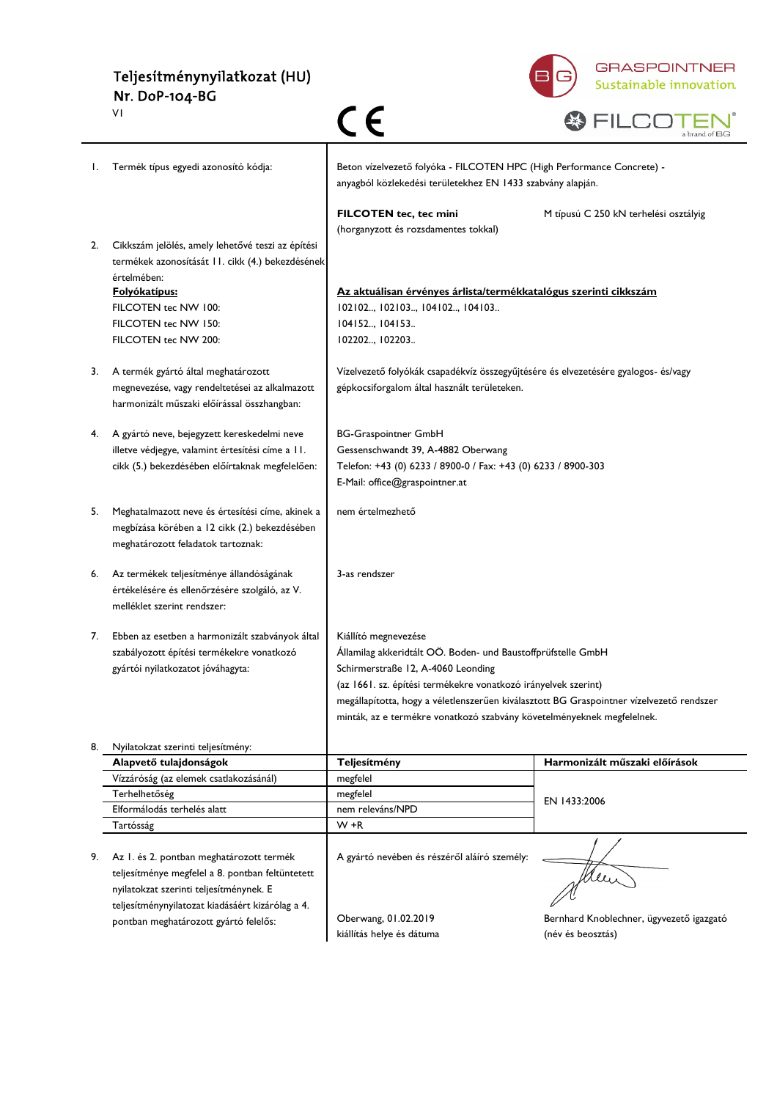# Teljesítménynyilatkozat (HU) Nr. DoP-104-BG



|    | ٧I                                                                                           | CE                                                                                                                                                                 | a brand of BG                            |  |
|----|----------------------------------------------------------------------------------------------|--------------------------------------------------------------------------------------------------------------------------------------------------------------------|------------------------------------------|--|
| Ι. | Termék típus egyedi azonosító kódja:                                                         | Beton vízelvezető folyóka - FILCOTEN HPC (High Performance Concrete) -<br>anyagból közlekedési területekhez EN 1433 szabvány alapján.                              |                                          |  |
| 2. | Cikkszám jelölés, amely lehetővé teszi az építési                                            | FILCOTEN tec, tec mini<br>(horganyzott és rozsdamentes tokkal)                                                                                                     | M típusú C 250 kN terhelési osztályig    |  |
|    | termékek azonosítását 11. cikk (4.) bekezdésének<br>értelmében:                              |                                                                                                                                                                    |                                          |  |
|    | <u> Folyókatípus:</u>                                                                        | Az aktuálisan érvényes árlista/termékkatalógus szerinti cikkszám                                                                                                   |                                          |  |
|    | FILCOTEN tec NW 100:                                                                         | 102102, 102103, 104102, 104103                                                                                                                                     |                                          |  |
|    | FILCOTEN tec NW 150:                                                                         | 104152, 104153                                                                                                                                                     |                                          |  |
|    | FILCOTEN tec NW 200:                                                                         | 102202, 102203                                                                                                                                                     |                                          |  |
| 3. | A termék gyártó által meghatározott                                                          | Vízelvezető folyókák csapadékvíz összegyűjtésére és elvezetésére gyalogos- és/vagy                                                                                 |                                          |  |
|    | megnevezése, vagy rendeltetései az alkalmazott                                               | gépkocsiforgalom által használt területeken.                                                                                                                       |                                          |  |
|    | harmonizált műszaki előírással összhangban:                                                  |                                                                                                                                                                    |                                          |  |
| 4. | A gyártó neve, bejegyzett kereskedelmi neve                                                  | <b>BG-Graspointner GmbH</b>                                                                                                                                        |                                          |  |
|    | illetve védjegye, valamint értesítési címe a 11.                                             | Gessenschwandt 39, A-4882 Oberwang                                                                                                                                 |                                          |  |
|    | cikk (5.) bekezdésében előírtaknak megfelelően:                                              | Telefon: +43 (0) 6233 / 8900-0 / Fax: +43 (0) 6233 / 8900-303                                                                                                      |                                          |  |
|    |                                                                                              | E-Mail: office@graspointner.at                                                                                                                                     |                                          |  |
| 5. | Meghatalmazott neve és értesítési címe, akinek a                                             | nem értelmezhető                                                                                                                                                   |                                          |  |
|    | megbízása körében a 12 cikk (2.) bekezdésében                                                |                                                                                                                                                                    |                                          |  |
|    | meghatározott feladatok tartoznak:                                                           |                                                                                                                                                                    |                                          |  |
| 6. | Az termékek teljesítménye állandóságának                                                     | 3-as rendszer                                                                                                                                                      |                                          |  |
|    | értékelésére és ellenőrzésére szolgáló, az V.                                                |                                                                                                                                                                    |                                          |  |
|    | melléklet szerint rendszer:                                                                  |                                                                                                                                                                    |                                          |  |
| 7. | Ebben az esetben a harmonizált szabványok által                                              | Kiállító megnevezése                                                                                                                                               |                                          |  |
|    | szabályozott építési termékekre vonatkozó                                                    | Államilag akkeridtált OÖ. Boden- und Baustoffprüfstelle GmbH                                                                                                       |                                          |  |
|    | gyártói nyilatkozatot jóváhagyta:                                                            | Schirmerstraße 12, A-4060 Leonding                                                                                                                                 |                                          |  |
|    |                                                                                              | (az 1661. sz. építési termékekre vonatkozó irányelvek szerint)                                                                                                     |                                          |  |
|    |                                                                                              | megállapította, hogy a véletlenszerűen kiválasztott BG Graspointner vízelvezető rendszer<br>minták, az e termékre vonatkozó szabvány követelményeknek megfelelnek. |                                          |  |
|    |                                                                                              |                                                                                                                                                                    |                                          |  |
| 8. | Nyilatokzat szerinti teljesítmény:                                                           |                                                                                                                                                                    |                                          |  |
|    | Alapvető tulajdonságok<br>Vízzáróság (az elemek csatlakozásánál)                             | Teljesítmény                                                                                                                                                       | Harmonizált műszaki előírások            |  |
|    | Terhelhetőség                                                                                | megfelel<br>megfelel                                                                                                                                               |                                          |  |
|    | Elformálodás terhelés alatt                                                                  | nem releváns/NPD                                                                                                                                                   | EN 1433:2006                             |  |
|    | Tartósság                                                                                    | $W + R$                                                                                                                                                            |                                          |  |
|    |                                                                                              |                                                                                                                                                                    |                                          |  |
| 9. | Az I. és 2. pontban meghatározott termék<br>teljesítménye megfelel a 8. pontban feltüntetett | A gyártó nevében és részéről aláíró személy:                                                                                                                       |                                          |  |
|    | nyilatokzat szerinti teljesítménynek. E                                                      |                                                                                                                                                                    | Meu                                      |  |
|    | teljesítménynyilatozat kiadásáért kizárólag a 4.                                             |                                                                                                                                                                    |                                          |  |
|    | pontban meghatározott gyártó felelős:                                                        | Oberwang, 01.02.2019                                                                                                                                               | Bernhard Knoblechner, ügyvezető igazgató |  |
|    |                                                                                              | kiállítás helye és dátuma                                                                                                                                          | (név és beosztás)                        |  |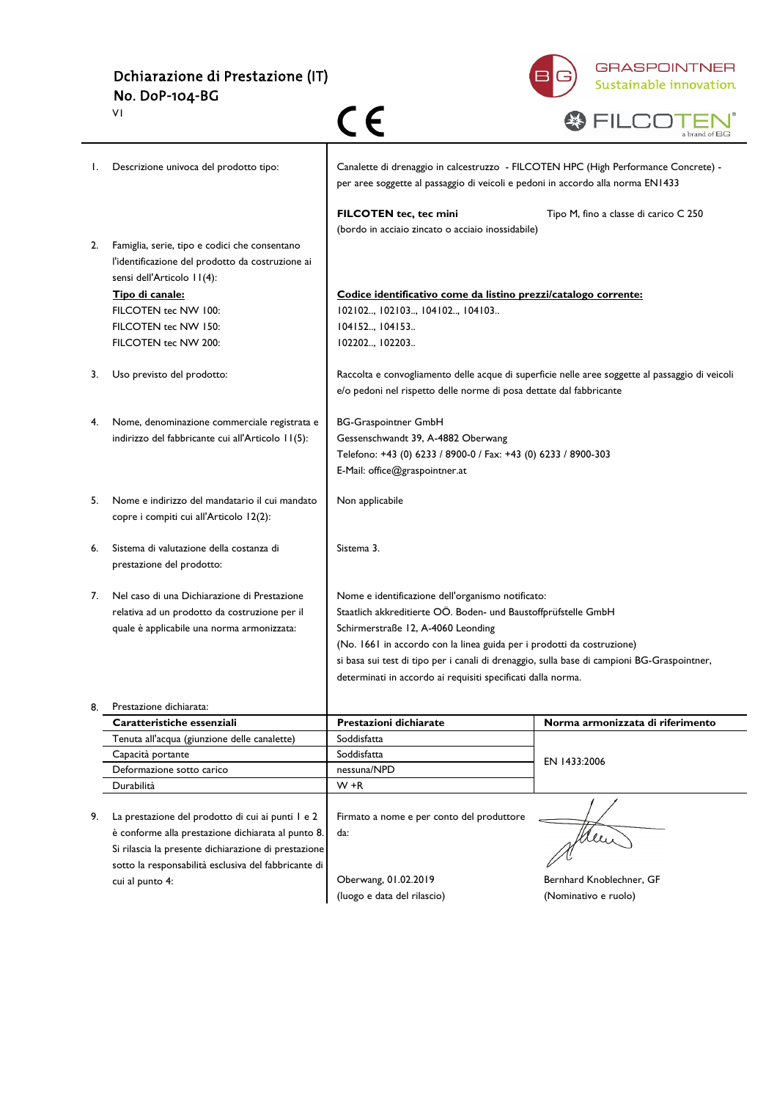Dchiarazione di Prestazione (IT) No. DoP-104-BG



|    | VI                                                                                                                              |                                                                                                                                                                        |                                                                                                 |
|----|---------------------------------------------------------------------------------------------------------------------------------|------------------------------------------------------------------------------------------------------------------------------------------------------------------------|-------------------------------------------------------------------------------------------------|
| Ι. | Descrizione univoca del prodotto tipo:                                                                                          | Canalette di drenaggio in calcestruzzo - FILCOTEN HPC (High Performance Concrete) -<br>per aree soggette al passaggio di veicoli e pedoni in accordo alla norma EN1433 |                                                                                                 |
|    |                                                                                                                                 | <b>FILCOTEN tec, tec mini</b><br>(bordo in acciaio zincato o acciaio inossidabile)                                                                                     | Tipo M, fino a classe di carico C 250                                                           |
| 2. | Famiglia, serie, tipo e codici che consentano<br>l'identificazione del prodotto da costruzione ai<br>sensi dell'Articolo 11(4): |                                                                                                                                                                        |                                                                                                 |
|    | Tipo di canale:                                                                                                                 | Codice identificativo come da listino prezzi/catalogo corrente:                                                                                                        |                                                                                                 |
|    | FILCOTEN tec NW 100:                                                                                                            | 102102, 102103, 104102, 104103                                                                                                                                         |                                                                                                 |
|    | FILCOTEN tec NW 150:                                                                                                            | 104152, 104153                                                                                                                                                         |                                                                                                 |
|    | FILCOTEN tec NW 200:                                                                                                            | 102202, 102203                                                                                                                                                         |                                                                                                 |
| 3. | Uso previsto del prodotto:                                                                                                      | e/o pedoni nel rispetto delle norme di posa dettate dal fabbricante                                                                                                    | Raccolta e convogliamento delle acque di superficie nelle aree soggette al passaggio di veicoli |
| 4. | Nome, denominazione commerciale registrata e                                                                                    | <b>BG-Graspointner GmbH</b>                                                                                                                                            |                                                                                                 |
|    | indirizzo del fabbricante cui all'Articolo 11(5):                                                                               | Gessenschwandt 39, A-4882 Oberwang                                                                                                                                     |                                                                                                 |
|    |                                                                                                                                 | Telefono: +43 (0) 6233 / 8900-0 / Fax: +43 (0) 6233 / 8900-303                                                                                                         |                                                                                                 |
|    |                                                                                                                                 | E-Mail: office@graspointner.at                                                                                                                                         |                                                                                                 |
| 5. | Nome e indirizzo del mandatario il cui mandato<br>copre i compiti cui all'Articolo 12(2):                                       | Non applicabile                                                                                                                                                        |                                                                                                 |
| 6. | Sistema di valutazione della costanza di<br>prestazione del prodotto:                                                           | Sistema 3.                                                                                                                                                             |                                                                                                 |
| 7. | Nel caso di una Dichiarazione di Prestazione                                                                                    | Nome e identificazione dell'organismo notificato:                                                                                                                      |                                                                                                 |
|    | relativa ad un prodotto da costruzione per il                                                                                   | Staatlich akkreditierte OÖ. Boden- und Baustoffprüfstelle GmbH                                                                                                         |                                                                                                 |
|    | quale è applicabile una norma armonizzata:                                                                                      | Schirmerstraße 12, A-4060 Leonding                                                                                                                                     |                                                                                                 |
|    |                                                                                                                                 | (No. 1661 in accordo con la linea guida per i prodotti da costruzione)                                                                                                 |                                                                                                 |
|    |                                                                                                                                 | si basa sui test di tipo per i canali di drenaggio, sulla base di campioni BG-Graspointner,                                                                            |                                                                                                 |
|    |                                                                                                                                 | determinati in accordo ai requisiti specificati dalla norma.                                                                                                           |                                                                                                 |
| 8. | Prestazione dichiarata:                                                                                                         |                                                                                                                                                                        |                                                                                                 |
|    | Caratteristiche essenziali                                                                                                      | Prestazioni dichiarate                                                                                                                                                 | Norma armonizzata di riferimento                                                                |
|    | Tenuta all'acqua (giunzione delle canalette)                                                                                    | Soddisfatta                                                                                                                                                            |                                                                                                 |
|    | Capacità portante                                                                                                               | Soddisfatta                                                                                                                                                            | EN 1433:2006                                                                                    |
|    | Deformazione sotto carico                                                                                                       | nessuna/NPD                                                                                                                                                            |                                                                                                 |
|    | Durabilità                                                                                                                      | $W + R$                                                                                                                                                                |                                                                                                 |
| 9. | La prestazione del prodotto di cui ai punti I e 2                                                                               | Firmato a nome e per conto del produttore                                                                                                                              |                                                                                                 |
|    | è conforme alla prestazione dichiarata al punto 8.                                                                              | da:                                                                                                                                                                    | Men                                                                                             |
|    | Si rilascia la presente dichiarazione di prestazione                                                                            |                                                                                                                                                                        |                                                                                                 |
|    | sotto la responsabilità esclusiva del fabbricante di                                                                            |                                                                                                                                                                        |                                                                                                 |
|    | cui al punto 4:                                                                                                                 | Oberwang, 01.02.2019                                                                                                                                                   | Bernhard Knoblechner, GF                                                                        |
|    |                                                                                                                                 | (luogo e data del rilascio)                                                                                                                                            | (Nominativo e ruolo)                                                                            |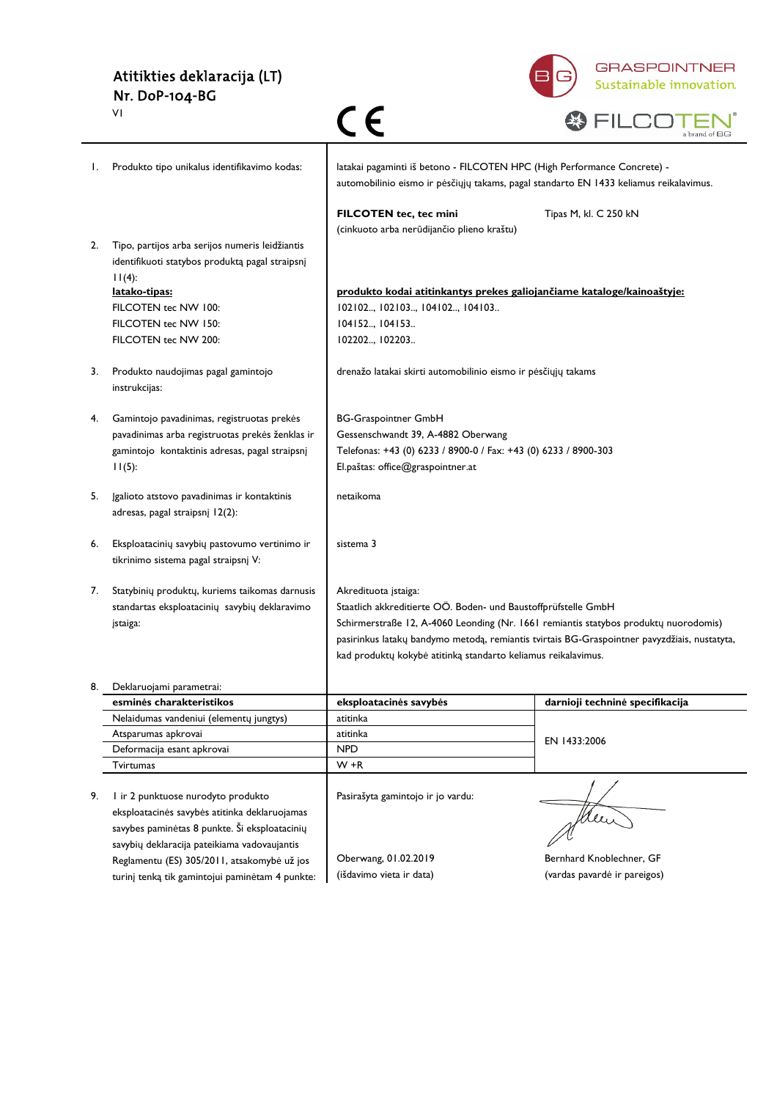#### Atitikties deklaracija (LT) Nr. DoP-104-BG V1



|    | VI                                                                                                              | $\in \epsilon$                                                                                                                                                     | a brand of BG                                                                                |
|----|-----------------------------------------------------------------------------------------------------------------|--------------------------------------------------------------------------------------------------------------------------------------------------------------------|----------------------------------------------------------------------------------------------|
| Ι. | Produkto tipo unikalus identifikavimo kodas:                                                                    | latakai pagaminti iš betono - FILCOTEN HPC (High Performance Concrete) -<br>automobilinio eismo ir pėsčiųjų takams, pagal standarto EN 1433 keliamus reikalavimus. |                                                                                              |
|    |                                                                                                                 | FILCOTEN tec, tec mini<br>(cinkuoto arba nerūdijančio plieno kraštu)                                                                                               | Tipas M, kl. C 250 kN                                                                        |
| 2. | Tipo, partijos arba serijos numeris leidžiantis<br>identifikuoti statybos produktą pagal straipsnį<br>$11(4)$ : |                                                                                                                                                                    |                                                                                              |
|    | latako-tipas:                                                                                                   | produkto kodai atitinkantys prekes galiojančiame kataloge/kainoaštyje:                                                                                             |                                                                                              |
|    | FILCOTEN tec NW 100:                                                                                            | 102102, 102103, 104102, 104103                                                                                                                                     |                                                                                              |
|    | FILCOTEN tec NW 150:                                                                                            | 104152, 104153                                                                                                                                                     |                                                                                              |
|    | FILCOTEN tec NW 200:                                                                                            | 102202, 102203                                                                                                                                                     |                                                                                              |
| 3. | Produkto naudojimas pagal gamintojo<br>instrukcijas:                                                            | drenažo latakai skirti automobilinio eismo ir pėsčiųjų takams                                                                                                      |                                                                                              |
| 4. | Gamintojo pavadinimas, registruotas prekės                                                                      | <b>BG-Graspointner GmbH</b>                                                                                                                                        |                                                                                              |
|    | pavadinimas arba registruotas prekės ženklas ir                                                                 | Gessenschwandt 39, A-4882 Oberwang                                                                                                                                 |                                                                                              |
|    | gamintojo kontaktinis adresas, pagal straipsnį                                                                  | Telefonas: +43 (0) 6233 / 8900-0 / Fax: +43 (0) 6233 / 8900-303                                                                                                    |                                                                                              |
|    | $11(5)$ :                                                                                                       | El.paštas: office@graspointner.at                                                                                                                                  |                                                                                              |
| 5. | Igalioto atstovo pavadinimas ir kontaktinis<br>adresas, pagal straipsnį 12(2):                                  | netaikoma                                                                                                                                                          |                                                                                              |
| 6. | Eksploatacinių savybių pastovumo vertinimo ir<br>tikrinimo sistema pagal straipsnį V:                           | sistema 3                                                                                                                                                          |                                                                                              |
| 7. | Statybinių produktų, kuriems taikomas darnusis                                                                  | Akredituota įstaiga:                                                                                                                                               |                                                                                              |
|    | standartas eksploatacinių savybių deklaravimo                                                                   | Staatlich akkreditierte OÖ. Boden- und Baustoffprüfstelle GmbH                                                                                                     |                                                                                              |
|    | įstaiga:                                                                                                        | Schirmerstraße 12, A-4060 Leonding (Nr. 1661 remiantis statybos produktų nuorodomis)                                                                               |                                                                                              |
|    |                                                                                                                 |                                                                                                                                                                    | pasirinkus latakų bandymo metodą, remiantis tvirtais BG-Graspointner pavyzdžiais, nustatyta, |
|    |                                                                                                                 | kad produktų kokybė atitinką standarto keliamus reikalavimus.                                                                                                      |                                                                                              |
|    | Deklaruojami parametrai:                                                                                        |                                                                                                                                                                    |                                                                                              |
|    | esminės charakteristikos                                                                                        | eksploatacinės savybės                                                                                                                                             | darnioji techninė specifikacija                                                              |
|    | Nelaidumas vandeniui (elementų jungtys)<br>Atsparumas apkrovai                                                  | atitinka<br>atitinka                                                                                                                                               |                                                                                              |
|    | Deformacija esant apkrovai                                                                                      | <b>NPD</b>                                                                                                                                                         | EN 1433:2006                                                                                 |
|    | <b>Tvirtumas</b>                                                                                                | $W + R$                                                                                                                                                            |                                                                                              |
|    |                                                                                                                 |                                                                                                                                                                    |                                                                                              |
| 9. | I ir 2 punktuose nurodyto produkto                                                                              | Pasirašyta gamintojo ir jo vardu:                                                                                                                                  |                                                                                              |
|    | eksploatacinės savybės atitinka deklaruojamas                                                                   |                                                                                                                                                                    | Men                                                                                          |
|    | savybes paminėtas 8 punkte. Ši eksploatacinių                                                                   |                                                                                                                                                                    |                                                                                              |
|    | savybių deklaracija pateikiama vadovaujantis                                                                    |                                                                                                                                                                    |                                                                                              |
|    | Reglamentu (ES) 305/2011, atsakomybė už jos                                                                     | Oberwang, 01.02.2019                                                                                                                                               | Bernhard Knoblechner, GF                                                                     |
|    | turinį tenką tik gamintojui paminėtam 4 punkte:                                                                 | (išdavimo vieta ir data)                                                                                                                                           | (vardas pavardė ir pareigos)                                                                 |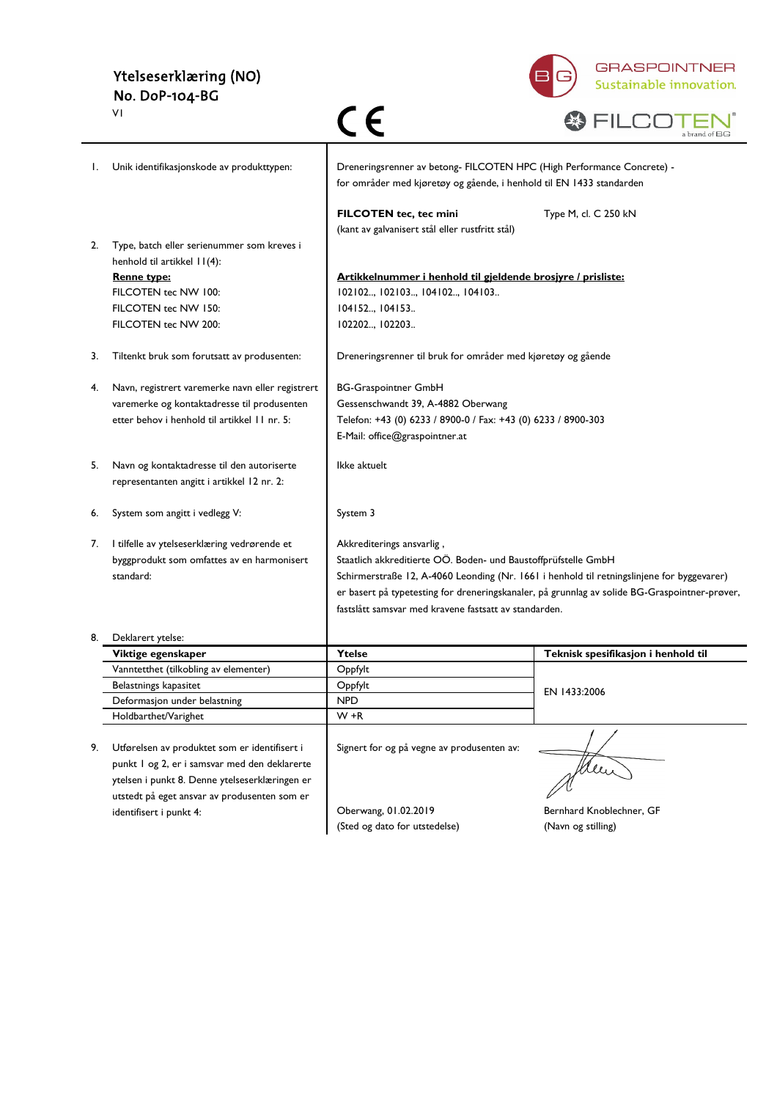## Ytelseserklæring (NO) No. DoP-104-BG



|    | VΙ                                               | C E                                                                                                                                            | a brand of BG                                                                                 |
|----|--------------------------------------------------|------------------------------------------------------------------------------------------------------------------------------------------------|-----------------------------------------------------------------------------------------------|
| I. | Unik identifikasjonskode av produkttypen:        | Dreneringsrenner av betong- FILCOTEN HPC (High Performance Concrete) -<br>for områder med kjøretøy og gående, i henhold til EN 1433 standarden |                                                                                               |
|    |                                                  | FILCOTEN tec, tec mini<br>(kant av galvanisert stål eller rustfritt stål)                                                                      | Type M, cl. C 250 kN                                                                          |
| 2. | Type, batch eller serienummer som kreves i       |                                                                                                                                                |                                                                                               |
|    | henhold til artikkel 11(4):                      |                                                                                                                                                |                                                                                               |
|    | <b>Renne type:</b>                               | Artikkelnummer i henhold til gjeldende brosjyre / prisliste:                                                                                   |                                                                                               |
|    | FILCOTEN tec NW 100:                             | 102102, 102103, 104102, 104103                                                                                                                 |                                                                                               |
|    | FILCOTEN tec NW 150:                             | 104152, 104153                                                                                                                                 |                                                                                               |
|    | FILCOTEN tec NW 200:                             | 102202, 102203                                                                                                                                 |                                                                                               |
| 3. | Tiltenkt bruk som forutsatt av produsenten:      | Dreneringsrenner til bruk for områder med kjøretøy og gående                                                                                   |                                                                                               |
| 4. | Navn, registrert varemerke navn eller registrert | <b>BG-Graspointner GmbH</b>                                                                                                                    |                                                                                               |
|    | varemerke og kontaktadresse til produsenten      | Gessenschwandt 39, A-4882 Oberwang                                                                                                             |                                                                                               |
|    | etter behov i henhold til artikkel 11 nr. 5:     | Telefon: +43 (0) 6233 / 8900-0 / Fax: +43 (0) 6233 / 8900-303                                                                                  |                                                                                               |
|    |                                                  | E-Mail: office@graspointner.at                                                                                                                 |                                                                                               |
| 5. | Navn og kontaktadresse til den autoriserte       | Ikke aktuelt                                                                                                                                   |                                                                                               |
|    | representanten angitt i artikkel 12 nr. 2:       |                                                                                                                                                |                                                                                               |
| 6. | System som angitt i vedlegg V:                   | System 3                                                                                                                                       |                                                                                               |
| 7. | I tilfelle av ytelseserklæring vedrørende et     | Akkrediterings ansvarlig,                                                                                                                      |                                                                                               |
|    | byggprodukt som omfattes av en harmonisert       | Staatlich akkreditierte OÖ. Boden- und Baustoffprüfstelle GmbH                                                                                 |                                                                                               |
|    | standard:                                        |                                                                                                                                                | Schirmerstraße 12, A-4060 Leonding (Nr. 1661 i henhold til retningslinjene for byggevarer)    |
|    |                                                  |                                                                                                                                                | er basert på typetesting for dreneringskanaler, på grunnlag av solide BG-Graspointner-prøver, |
|    |                                                  | fastslått samsvar med kravene fastsatt av standarden.                                                                                          |                                                                                               |
| 8. | Deklarert ytelse:                                |                                                                                                                                                |                                                                                               |
|    | Viktige egenskaper                               | Ytelse                                                                                                                                         | Teknisk spesifikasjon i henhold til                                                           |
|    | Vanntetthet (tilkobling av elementer)            | Oppfylt                                                                                                                                        |                                                                                               |
|    | Belastnings kapasitet                            | Oppfylt                                                                                                                                        | EN 1433:2006                                                                                  |
|    | Deformasjon under belastning                     | <b>NPD</b>                                                                                                                                     |                                                                                               |
|    | Holdbarthet/Varighet                             | $W + R$                                                                                                                                        |                                                                                               |
|    | Utførelsen av produktet som er identifisert i    |                                                                                                                                                |                                                                                               |
| 9. | punkt I og 2, er i samsvar med den deklarerte    | Signert for og på vegne av produsenten av:                                                                                                     |                                                                                               |
|    | ytelsen i punkt 8. Denne ytelseserklæringen er   |                                                                                                                                                |                                                                                               |
|    | utstedt på eget ansvar av produsenten som er     |                                                                                                                                                |                                                                                               |
|    | identifisert i punkt 4:                          | Oberwang, 01.02.2019                                                                                                                           | Bernhard Knoblechner, GF                                                                      |
|    |                                                  | (Sted og dato for utstedelse)                                                                                                                  | (Navn og stilling)                                                                            |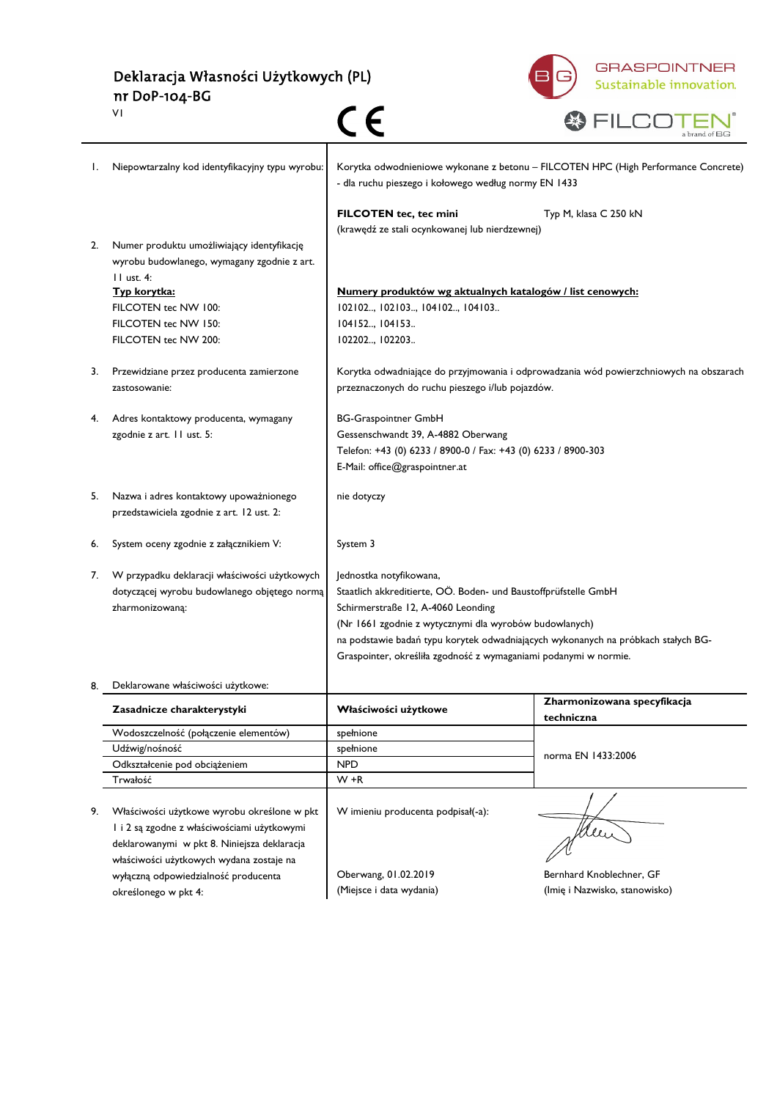Deklaracja Własności Użytkowych (PL) nr DoP-104-BG  $c<sub>c</sub>$ V1



|    |                                                                                                           |                                                                 | a brand of BG                                                                          |  |
|----|-----------------------------------------------------------------------------------------------------------|-----------------------------------------------------------------|----------------------------------------------------------------------------------------|--|
|    | Niepowtarzalny kod identyfikacyjny typu wyrobu:                                                           | - dla ruchu pieszego i kołowego według normy EN 1433            | Korytka odwodnieniowe wykonane z betonu - FILCOTEN HPC (High Performance Concrete)     |  |
|    |                                                                                                           | FILCOTEN tec, tec mini                                          | Typ M, klasa C 250 kN                                                                  |  |
|    |                                                                                                           | (krawędź ze stali ocynkowanej lub nierdzewnej)                  |                                                                                        |  |
| 2. | Numer produktu umożliwiający identyfikację<br>wyrobu budowlanego, wymagany zgodnie z art.<br>$II$ ust. 4: |                                                                 |                                                                                        |  |
|    | Typ korytka:                                                                                              |                                                                 | Numery produktów wg aktualnych katalogów / list cenowych:                              |  |
|    | FILCOTEN tec NW 100:                                                                                      | 102102, 102103, 104102, 104103                                  |                                                                                        |  |
|    | FILCOTEN tec NW 150:                                                                                      | 104152 104153                                                   |                                                                                        |  |
|    | FILCOTEN tec NW 200:                                                                                      | 102202, 102203                                                  |                                                                                        |  |
| 3. | Przewidziane przez producenta zamierzone<br>zastosowanie:                                                 | przeznaczonych do ruchu pieszego i/lub pojazdów.                | Korytka odwadniające do przyjmowania i odprowadzania wód powierzchniowych na obszarach |  |
| 4. |                                                                                                           | <b>BG-Graspointner GmbH</b>                                     |                                                                                        |  |
|    | Adres kontaktowy producenta, wymagany<br>zgodnie z art. 11 ust. 5:                                        | Gessenschwandt 39, A-4882 Oberwang                              |                                                                                        |  |
|    |                                                                                                           | Telefon: +43 (0) 6233 / 8900-0 / Fax: +43 (0) 6233 / 8900-303   |                                                                                        |  |
|    |                                                                                                           | E-Mail: office@graspointner.at                                  |                                                                                        |  |
| 5. | Nazwa i adres kontaktowy upoważnionego<br>przedstawiciela zgodnie z art. 12 ust. 2:                       | nie dotyczy                                                     |                                                                                        |  |
| 6. | System oceny zgodnie z załącznikiem V:                                                                    | System 3                                                        |                                                                                        |  |
| 7. | W przypadku deklaracji właściwości użytkowych                                                             | Jednostka notyfikowana,                                         |                                                                                        |  |
|    | dotyczącej wyrobu budowlanego objętego normą                                                              | Staatlich akkreditierte, OÖ. Boden- und Baustoffprüfstelle GmbH |                                                                                        |  |
|    | zharmonizowaną:                                                                                           | Schirmerstraße 12, A-4060 Leonding                              |                                                                                        |  |
|    |                                                                                                           | (Nr 1661 zgodnie z wytycznymi dla wyrobów budowlanych)          |                                                                                        |  |
|    |                                                                                                           |                                                                 | na podstawie badań typu korytek odwadniających wykonanych na próbkach stałych BG-      |  |
|    |                                                                                                           |                                                                 | Graspointer, określiła zgodność z wymaganiami podanymi w normie.                       |  |
|    | Deklarowane właściwości użytkowe:                                                                         |                                                                 |                                                                                        |  |
|    | Zasadnicze charakterystyki                                                                                | Właściwości użytkowe                                            | Zharmonizowana specyfikacja<br>techniczna                                              |  |
|    | Wodoszczelność (połączenie elementów)                                                                     | spełnione                                                       |                                                                                        |  |
|    | Udźwig/nośność                                                                                            | spełnione                                                       | norma EN 1433:2006                                                                     |  |
|    | Odkształcenie pod obciążeniem                                                                             | <b>NPD</b>                                                      |                                                                                        |  |
|    | Trwałość                                                                                                  | $W + R$                                                         |                                                                                        |  |
|    |                                                                                                           |                                                                 |                                                                                        |  |
| 9. | Właściwości użytkowe wyrobu określone w pkt                                                               | W imieniu producenta podpisał(-a):                              |                                                                                        |  |
|    | l i 2 są zgodne z właściwościami użytkowymi                                                               |                                                                 |                                                                                        |  |
|    | deklarowanymi w pkt 8. Niniejsza deklaracja                                                               |                                                                 |                                                                                        |  |
|    | właściwości użytkowych wydana zostaje na                                                                  |                                                                 |                                                                                        |  |
|    | wyłączną odpowiedzialność producenta                                                                      | Oberwang, 01.02.2019                                            | Bernhard Knoblechner, GF                                                               |  |
|    | określonego w pkt 4:                                                                                      | (Miejsce i data wydania)                                        | (Imię i Nazwisko, stanowisko)                                                          |  |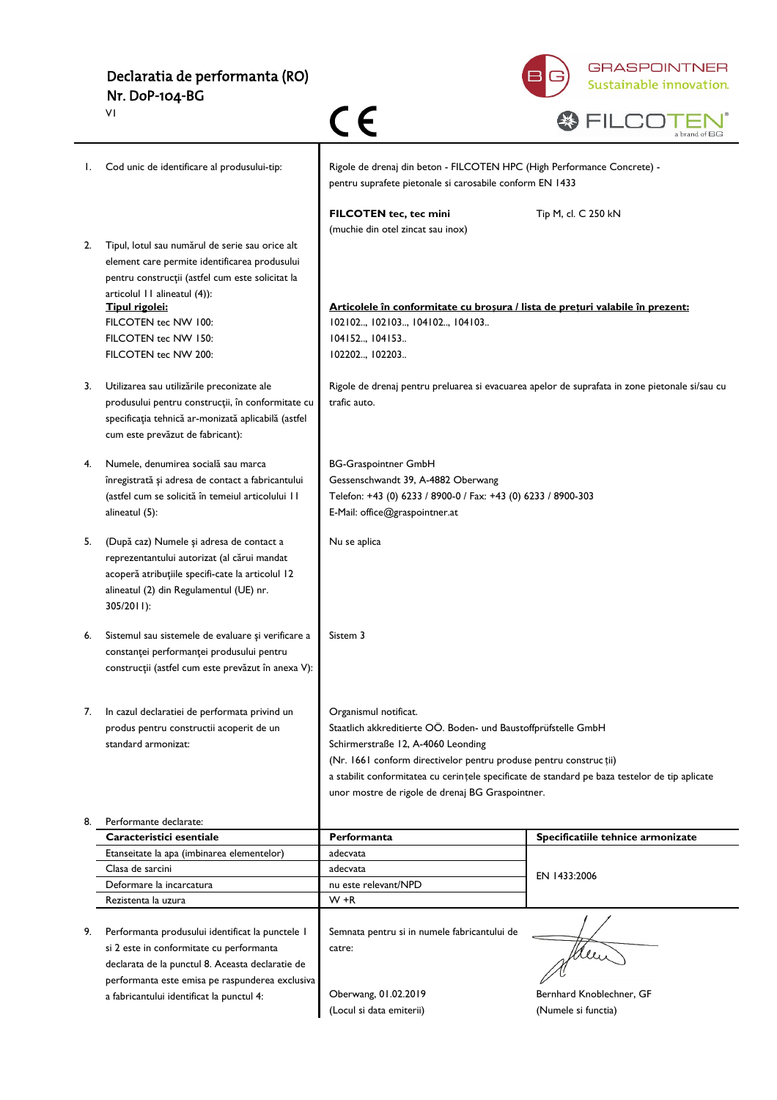| Declaratia de performanta (RO) |  |
|--------------------------------|--|
| Nr. DoP-104-BG                 |  |

 $\overline{v}$ 



|    | ΥI.                                                                                                                                                                                                  |                                                                                                                                                                           | a brand of BG                                   |
|----|------------------------------------------------------------------------------------------------------------------------------------------------------------------------------------------------------|---------------------------------------------------------------------------------------------------------------------------------------------------------------------------|-------------------------------------------------|
| Ι. | Cod unic de identificare al produsului-tip:                                                                                                                                                          | Rigole de drenaj din beton - FILCOTEN HPC (High Performance Concrete) -<br>pentru suprafete pietonale si carosabile conform EN 1433                                       |                                                 |
|    |                                                                                                                                                                                                      | FILCOTEN tec, tec mini<br>(muchie din otel zincat sau inox)                                                                                                               | Tip M, cl. C 250 kN                             |
| 2. | Tipul, lotul sau numărul de serie sau orice alt<br>element care permite identificarea produsului<br>pentru construcții (astfel cum este solicitat la                                                 |                                                                                                                                                                           |                                                 |
|    | articolul II alineatul (4)):<br><b>Tipul rigolei:</b><br>FILCOTEN tec NW 100:<br>FILCOTEN tec NW 150:                                                                                                | Articolele în conformitate cu broșura / lista de prețuri valabile în prezent:<br>102102, 102103, 104102, 104103<br>104152, 104153                                         |                                                 |
|    | FILCOTEN tec NW 200:                                                                                                                                                                                 | 102202, 102203                                                                                                                                                            |                                                 |
| 3. | Utilizarea sau utilizările preconizate ale<br>produsului pentru construcții, în conformitate cu<br>specificația tehnică ar-monizată aplicabilă (astfel<br>cum este prevăzut de fabricant):           | Rigole de drenaj pentru preluarea si evacuarea apelor de suprafata in zone pietonale si/sau cu<br>trafic auto.                                                            |                                                 |
| 4. | Numele, denumirea socială sau marca<br>înregistrată și adresa de contact a fabricantului<br>(astfel cum se solicită în temeiul articolului II<br>alineatul (5):                                      | <b>BG-Graspointner GmbH</b><br>Gessenschwandt 39, A-4882 Oberwang<br>Telefon: +43 (0) 6233 / 8900-0 / Fax: +43 (0) 6233 / 8900-303<br>E-Mail: office@graspointner.at      |                                                 |
| 5. | (După caz) Numele și adresa de contact a<br>reprezentantului autorizat (al cărui mandat<br>acoperă atribuțiile specifi-cate la articolul 12<br>alineatul (2) din Regulamentul (UE) nr.<br>305/2011): | Nu se aplica                                                                                                                                                              |                                                 |
| 6. | Sistemul sau sistemele de evaluare și verificare a<br>constanței performanței produsului pentru<br>construcții (astfel cum este prevăzut în anexa V):                                                | Sistem 3                                                                                                                                                                  |                                                 |
| 7. | In cazul declaratiei de performata privind un                                                                                                                                                        | Organismul notificat.                                                                                                                                                     |                                                 |
|    | produs pentru constructii acoperit de un<br>standard armonizat:                                                                                                                                      | Staatlich akkreditierte OÖ. Boden- und Baustoffprüfstelle GmbH<br>Schirmerstraße 12, A-4060 Leonding<br>(Nr. 1661 conform directivelor pentru produse pentru construcții) |                                                 |
|    |                                                                                                                                                                                                      | a stabilit conformitatea cu cerințele specificate de standard pe baza testelor de tip aplicate<br>unor mostre de rigole de drenaj BG Graspointner.                        |                                                 |
| 8. | Performante declarate:                                                                                                                                                                               |                                                                                                                                                                           |                                                 |
|    | Caracteristici esentiale                                                                                                                                                                             | Performanta                                                                                                                                                               | Specificatiile tehnice armonizate               |
|    | Etanseitate la apa (imbinarea elementelor)                                                                                                                                                           | adecvata                                                                                                                                                                  |                                                 |
|    | Clasa de sarcini                                                                                                                                                                                     | adecvata                                                                                                                                                                  |                                                 |
|    | Deformare la incarcatura                                                                                                                                                                             | nu este relevant/NPD                                                                                                                                                      | EN 1433:2006                                    |
|    | Rezistenta la uzura                                                                                                                                                                                  | $W + R$                                                                                                                                                                   |                                                 |
| 9. | Performanta produsului identificat la punctele I<br>si 2 este in conformitate cu performanta<br>declarata de la punctul 8. Aceasta declaratie de<br>performanta este emisa pe raspunderea exclusiva  | Semnata pentru si in numele fabricantului de<br>catre:                                                                                                                    | Men                                             |
|    | a fabricantului identificat la punctul 4:                                                                                                                                                            | Oberwang, 01.02.2019<br>(Locul si data emiterii)                                                                                                                          | Bernhard Knoblechner, GF<br>(Numele si functia) |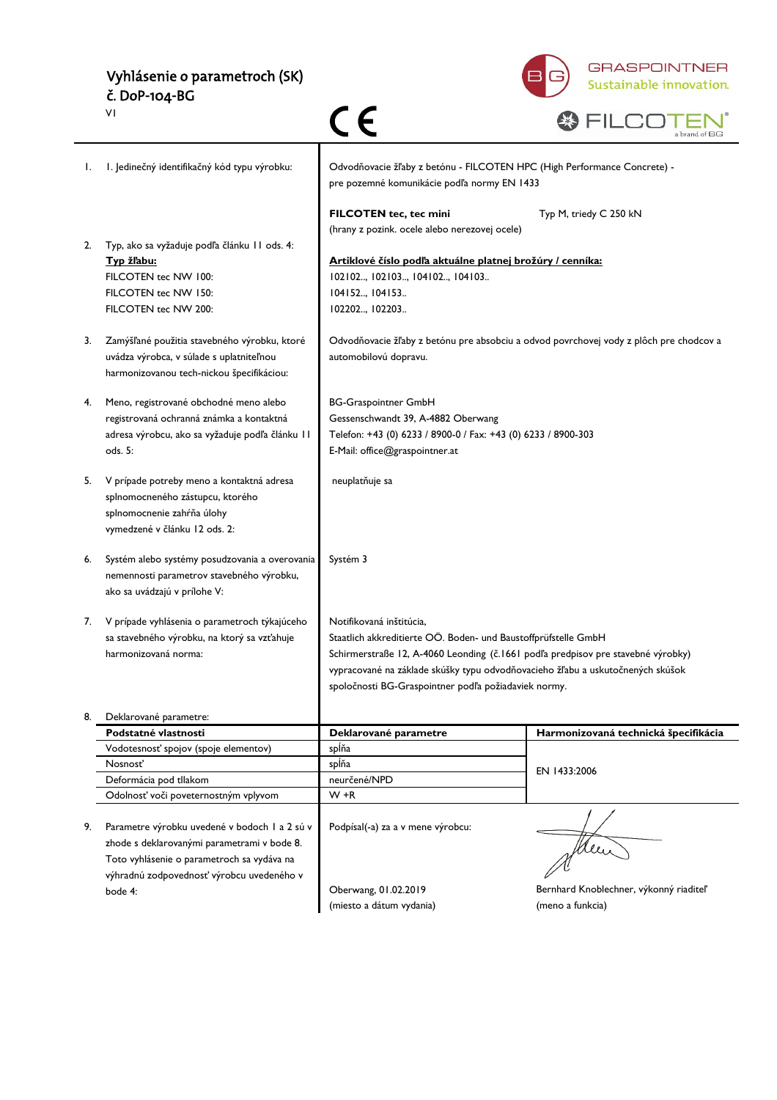## Vyhlásenie o parametroch (SK) č. DoP-104-BG



| w<br>m | . |                                        |  |
|--------|---|----------------------------------------|--|
|        |   | hrand of BG<br>$\mathbf{u}$<br>а отапа |  |

|    | VI                                                                                                                                                                                      | CE                                                                                                                                                                                                                                                                                                                       | a brand of BG                                              |
|----|-----------------------------------------------------------------------------------------------------------------------------------------------------------------------------------------|--------------------------------------------------------------------------------------------------------------------------------------------------------------------------------------------------------------------------------------------------------------------------------------------------------------------------|------------------------------------------------------------|
| I. | I. Jedinečný identifikačný kód typu výrobku:                                                                                                                                            | Odvodňovacie žľaby z betónu - FILCOTEN HPC (High Performance Concrete) -<br>pre pozemné komunikácie podľa normy EN 1433                                                                                                                                                                                                  |                                                            |
| 2. | Typ, ako sa vyžaduje podľa článku 11 ods. 4:<br>Typ žľabu:<br>FILCOTEN tec NW 100:<br>FILCOTEN tec NW 150:<br>FILCOTEN tec NW 200:                                                      | FILCOTEN tec, tec mini<br>(hrany z pozink. ocele alebo nerezovej ocele)<br>Artiklové číslo podľa aktuálne platnej brožúry / cenníka:<br>102102, 102103, 104102, 104103<br>104152, 104153<br>102202, 102203                                                                                                               | Typ M, triedy C 250 kN                                     |
| 3. | Zamýšľané použitia stavebného výrobku, ktoré<br>uvádza výrobca, v súlade s uplatniteľnou<br>harmonizovanou tech-nickou špecifikáciou:                                                   | Odvodňovacie žľaby z betónu pre absobciu a odvod povrchovej vody z plôch pre chodcov a<br>automobilovú dopravu.                                                                                                                                                                                                          |                                                            |
| 4. | Meno, registrované obchodné meno alebo<br>registrovaná ochranná známka a kontaktná<br>adresa výrobcu, ako sa vyžaduje podľa článku 11<br>ods. 5:                                        | <b>BG-Graspointner GmbH</b><br>Gessenschwandt 39, A-4882 Oberwang<br>Telefon: +43 (0) 6233 / 8900-0 / Fax: +43 (0) 6233 / 8900-303<br>E-Mail: office@graspointner.at                                                                                                                                                     |                                                            |
| 5. | V prípade potreby meno a kontaktná adresa<br>splnomocneného zástupcu, ktorého<br>splnomocnenie zahŕňa úlohy<br>vymedzené v článku 12 ods. 2:                                            | neuplatňuje sa                                                                                                                                                                                                                                                                                                           |                                                            |
| 6. | Systém alebo systémy posudzovania a overovania<br>nemennosti parametrov stavebného výrobku,<br>ako sa uvádzajú v prílohe V:                                                             | Systém 3                                                                                                                                                                                                                                                                                                                 |                                                            |
| 7. | V prípade vyhlásenia o parametroch týkajúceho<br>sa stavebného výrobku, na ktorý sa vzťahuje<br>harmonizovaná norma:                                                                    | Notifikovaná inštitúcia,<br>Staatlich akkreditierte OÖ. Boden- und Baustoffprüfstelle GmbH<br>Schirmerstraße 12, A-4060 Leonding (č.1661 podľa predpisov pre stavebné výrobky)<br>vypracované na základe skúšky typu odvodňovacieho žľabu a uskutočnených skúšok<br>spoločnosti BG-Graspointner podľa požiadaviek normy. |                                                            |
| 8. | Deklarované parametre:                                                                                                                                                                  |                                                                                                                                                                                                                                                                                                                          |                                                            |
|    | Podstatné vlastnosti                                                                                                                                                                    | Deklarované parametre                                                                                                                                                                                                                                                                                                    | Harmonizovaná technická špecifikácia                       |
|    | Vodotesnosť spojov (spoje elementov)                                                                                                                                                    | splňa                                                                                                                                                                                                                                                                                                                    |                                                            |
|    | Nosnosť<br>Deformácia pod tllakom                                                                                                                                                       | spĺňa<br>neurčené/NPD                                                                                                                                                                                                                                                                                                    | EN 1433:2006                                               |
|    | Odolnosť voči poveternostným vplyvom                                                                                                                                                    | $W + R$                                                                                                                                                                                                                                                                                                                  |                                                            |
| 9. | Parametre výrobku uvedené v bodoch 1 a 2 sú v<br>zhode s deklarovanými parametrami v bode 8.<br>Toto vyhlásenie o parametroch sa vydáva na<br>výhradnú zodpovednosť výrobcu uvedeného v | Podpísal(-a) za a v mene výrobcu:                                                                                                                                                                                                                                                                                        | Mu                                                         |
|    | bode 4:                                                                                                                                                                                 | Oberwang, 01.02.2019<br>(miesto a dátum vydania)                                                                                                                                                                                                                                                                         | Bernhard Knoblechner, výkonný riaditeľ<br>(meno a funkcia) |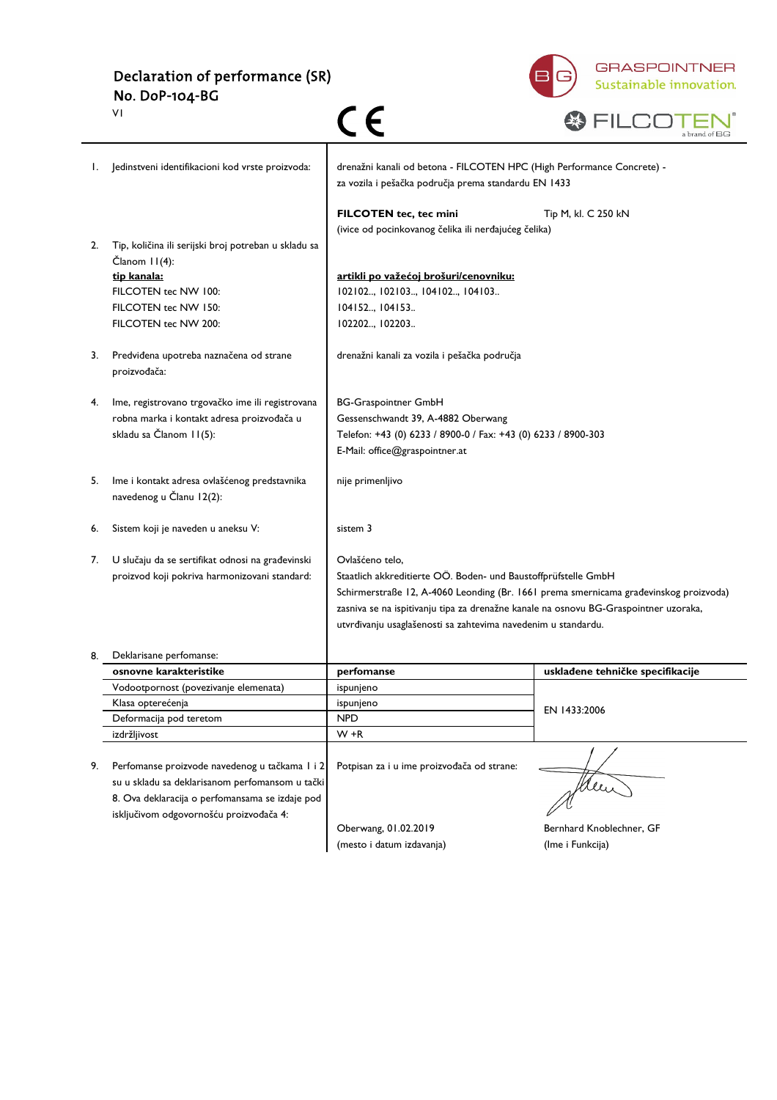Declaration of performance (SR) No. DoP-104-BG



|    | ٧I                                                                                                                                                   |                                                                                                                                |                                  |
|----|------------------------------------------------------------------------------------------------------------------------------------------------------|--------------------------------------------------------------------------------------------------------------------------------|----------------------------------|
|    | Jedinstveni identifikacioni kod vrste proizvoda:                                                                                                     | drenažni kanali od betona - FILCOTEN HPC (High Performance Concrete) -<br>za vozila i pešačka područja prema standardu EN 1433 |                                  |
|    |                                                                                                                                                      | FILCOTEN tec, tec mini<br>(ivice od pocinkovanog čelika ili nerđajućeg čelika)                                                 | Tip M, kl. C 250 kN              |
| 2. | Tip, količina ili serijski broj potreban u skladu sa<br>Članom 11(4):                                                                                |                                                                                                                                |                                  |
|    | tip kanala:                                                                                                                                          | artikli po važećoj brošuri/cenovniku:                                                                                          |                                  |
|    | FILCOTEN tec NW 100:                                                                                                                                 | 102102, 102103, 104102, 104103                                                                                                 |                                  |
|    | FILCOTEN tec NW 150:                                                                                                                                 | 104152, 104153                                                                                                                 |                                  |
|    | FILCOTEN tec NW 200:                                                                                                                                 | 102202, 102203                                                                                                                 |                                  |
| 3. | Predviđena upotreba naznačena od strane<br>proizvođača:                                                                                              | drenažni kanali za vozila i pešačka područja                                                                                   |                                  |
| 4. | lme, registrovano trgovačko ime ili registrovana                                                                                                     | <b>BG-Graspointner GmbH</b>                                                                                                    |                                  |
|    | robna marka i kontakt adresa proizvođača u                                                                                                           | Gessenschwandt 39, A-4882 Oberwang                                                                                             |                                  |
|    | skladu sa Članom II(5):                                                                                                                              | Telefon: +43 (0) 6233 / 8900-0 / Fax: +43 (0) 6233 / 8900-303                                                                  |                                  |
|    |                                                                                                                                                      | E-Mail: office@graspointner.at                                                                                                 |                                  |
| 5. | Ime i kontakt adresa ovlašćenog predstavnika<br>navedenog u Članu 12(2):                                                                             | nije primenljivo                                                                                                               |                                  |
| 6. | Sistem koji je naveden u aneksu V:                                                                                                                   | sistem 3                                                                                                                       |                                  |
| 7. | U slučaju da se sertifikat odnosi na građevinski                                                                                                     | Ovlašćeno telo,                                                                                                                |                                  |
|    | proizvod koji pokriva harmonizovani standard:                                                                                                        | Staatlich akkreditierte OÖ. Boden- und Baustoffprüfstelle GmbH                                                                 |                                  |
|    |                                                                                                                                                      | Schirmerstraße 12, A-4060 Leonding (Br. 1661 prema smernicama građevinskog proizvoda)                                          |                                  |
|    |                                                                                                                                                      | zasniva se na ispitivanju tipa za drenažne kanale na osnovu BG-Graspointner uzoraka,                                           |                                  |
|    |                                                                                                                                                      | utvrđivanju usaglašenosti sa zahtevima navedenim u standardu.                                                                  |                                  |
|    | Deklarisane perfomanse:                                                                                                                              |                                                                                                                                |                                  |
|    | osnovne karakteristike                                                                                                                               | perfomanse                                                                                                                     | usklađene tehničke specifikacije |
|    | Vodootpornost (povezivanje elemenata)                                                                                                                | ispunjeno                                                                                                                      |                                  |
|    | Klasa opterećenja                                                                                                                                    | ispunjeno                                                                                                                      | EN 1433:2006                     |
|    | Deformacija pod teretom                                                                                                                              | <b>NPD</b>                                                                                                                     |                                  |
|    | izdržljivost                                                                                                                                         | $W + R$                                                                                                                        |                                  |
| 9. | Perfomanse proizvode navedenog u tačkama 1 i 2<br>su u skladu sa deklarisanom perfomansom u tački<br>8. Ova deklaracija o perfomansama se izdaje pod | Potpisan za i u ime proizvođača od strane:                                                                                     |                                  |
|    | isključivom odgovornošću proizvođača 4:                                                                                                              |                                                                                                                                |                                  |
|    |                                                                                                                                                      | Oberwang, 01.02.2019                                                                                                           | Bernhard Knoblechner, GF         |
|    |                                                                                                                                                      | (mesto i datum izdavanja)                                                                                                      | (Ime i Funkcija)                 |